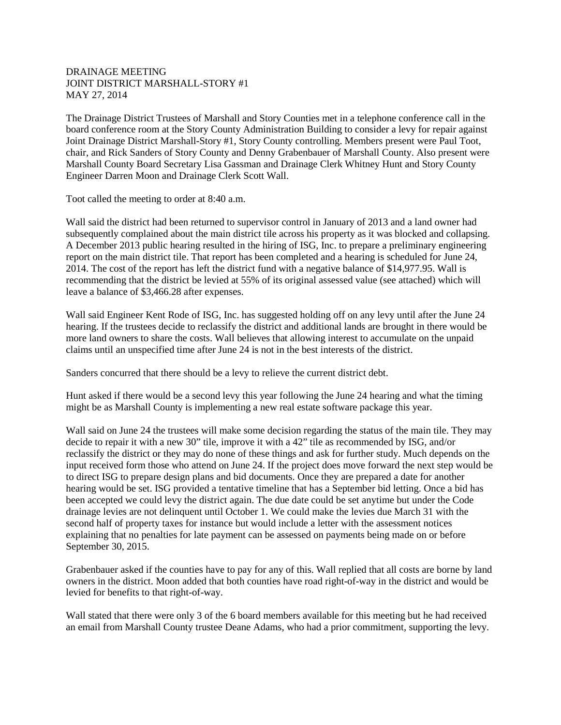## DRAINAGE MEETING JOINT DISTRICT MARSHALL-STORY #1 MAY 27, 2014

The Drainage District Trustees of Marshall and Story Counties met in a telephone conference call in the board conference room at the Story County Administration Building to consider a levy for repair against Joint Drainage District Marshall-Story #1, Story County controlling. Members present were Paul Toot, chair, and Rick Sanders of Story County and Denny Grabenbauer of Marshall County. Also present were Marshall County Board Secretary Lisa Gassman and Drainage Clerk Whitney Hunt and Story County Engineer Darren Moon and Drainage Clerk Scott Wall.

Toot called the meeting to order at 8:40 a.m.

Wall said the district had been returned to supervisor control in January of 2013 and a land owner had subsequently complained about the main district tile across his property as it was blocked and collapsing. A December 2013 public hearing resulted in the hiring of ISG, Inc. to prepare a preliminary engineering report on the main district tile. That report has been completed and a hearing is scheduled for June 24, 2014. The cost of the report has left the district fund with a negative balance of \$14,977.95. Wall is recommending that the district be levied at 55% of its original assessed value (see attached) which will leave a balance of \$3,466.28 after expenses.

Wall said Engineer Kent Rode of ISG, Inc. has suggested holding off on any levy until after the June 24 hearing. If the trustees decide to reclassify the district and additional lands are brought in there would be more land owners to share the costs. Wall believes that allowing interest to accumulate on the unpaid claims until an unspecified time after June 24 is not in the best interests of the district.

Sanders concurred that there should be a levy to relieve the current district debt.

Hunt asked if there would be a second levy this year following the June 24 hearing and what the timing might be as Marshall County is implementing a new real estate software package this year.

Wall said on June 24 the trustees will make some decision regarding the status of the main tile. They may decide to repair it with a new 30" tile, improve it with a 42" tile as recommended by ISG, and/or reclassify the district or they may do none of these things and ask for further study. Much depends on the input received form those who attend on June 24. If the project does move forward the next step would be to direct ISG to prepare design plans and bid documents. Once they are prepared a date for another hearing would be set. ISG provided a tentative timeline that has a September bid letting. Once a bid has been accepted we could levy the district again. The due date could be set anytime but under the Code drainage levies are not delinquent until October 1. We could make the levies due March 31 with the second half of property taxes for instance but would include a letter with the assessment notices explaining that no penalties for late payment can be assessed on payments being made on or before September 30, 2015.

Grabenbauer asked if the counties have to pay for any of this. Wall replied that all costs are borne by land owners in the district. Moon added that both counties have road right-of-way in the district and would be levied for benefits to that right-of-way.

Wall stated that there were only 3 of the 6 board members available for this meeting but he had received an email from Marshall County trustee Deane Adams, who had a prior commitment, supporting the levy.